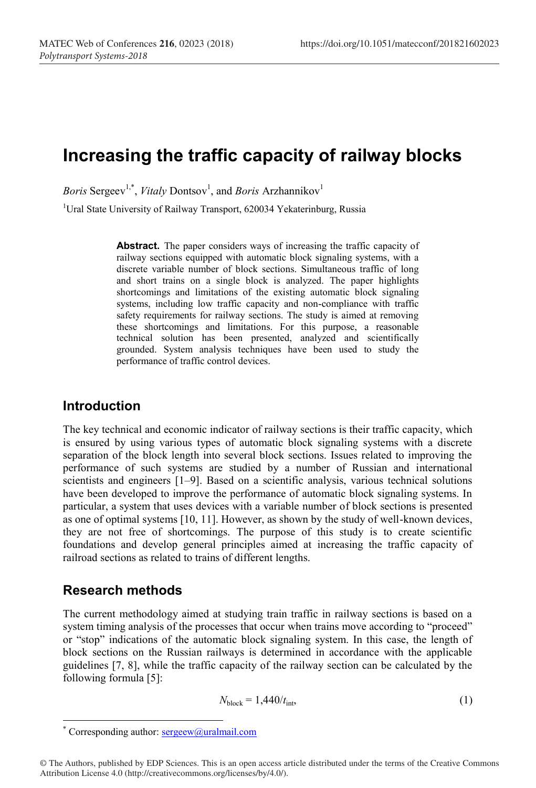# **Increasing the traffic capacity of railway blocks**

*Boris* Sergeev<sup>1,\*</sup>, *Vitaly* Dontsov<sup>1</sup>, and *Boris* Arzhannikov<sup>1</sup>

<sup>1</sup>Ural State University of Railway Transport, 620034 Yekaterinburg, Russia

**Abstract.** The paper considers ways of increasing the traffic capacity of railway sections equipped with automatic block signaling systems, with a discrete variable number of block sections. Simultaneous traffic of long and short trains on a single block is analyzed. The paper highlights shortcomings and limitations of the existing automatic block signaling systems, including low traffic capacity and non-compliance with traffic safety requirements for railway sections. The study is aimed at removing these shortcomings and limitations. For this purpose, a reasonable technical solution has been presented, analyzed and scientifically grounded. System analysis techniques have been used to study the performance of traffic control devices.

# **Introduction**

The key technical and economic indicator of railway sections is their traffic capacity, which is ensured by using various types of automatic block signaling systems with a discrete separation of the block length into several block sections. Issues related to improving the performance of such systems are studied by a number of Russian and international scientists and engineers [1–9]. Based on a scientific analysis, various technical solutions have been developed to improve the performance of automatic block signaling systems. In particular, a system that uses devices with a variable number of block sections is presented as one of optimal systems [10, 11]. However, as shown by the study of well-known devices, they are not free of shortcomings. The purpose of this study is to create scientific foundations and develop general principles aimed at increasing the traffic capacity of railroad sections as related to trains of different lengths.

# **Research methods**

The current methodology aimed at studying train traffic in railway sections is based on a system timing analysis of the processes that occur when trains move according to "proceed" or "stop" indications of the automatic block signaling system. In this case, the length of block sections on the Russian railways is determined in accordance with the applicable guidelines [7, 8], while the traffic capacity of the railway section can be calculated by the following formula [5]:

$$
N_{\text{block}} = 1,440/t_{\text{int}},\tag{1}
$$

<sup>\*</sup> Corresponding author:  $\frac{\text{seigeeW}}{a}$ uralmail.com

<sup>©</sup> The Authors, published by EDP Sciences. This is an open access article distributed under the terms of the Creative Commons Attribution License 4.0 (http://creativecommons.org/licenses/by/4.0/).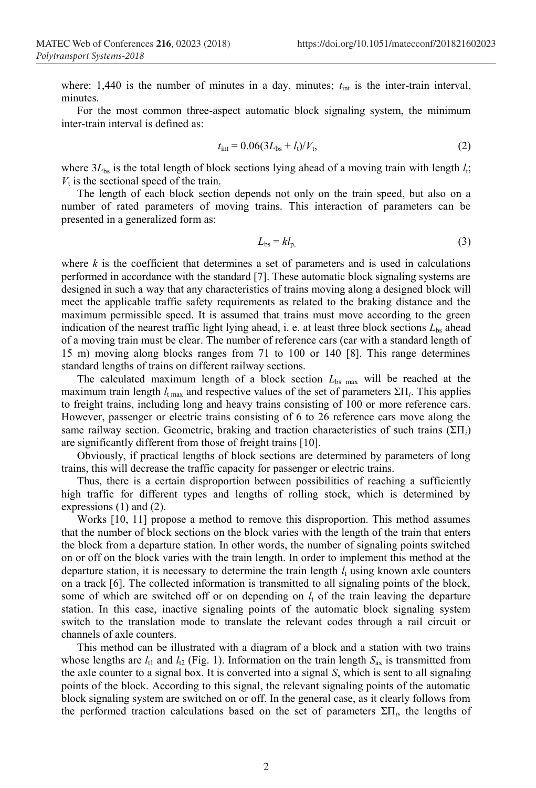where: 1,440 is the number of minutes in a day, minutes;  $t<sub>int</sub>$  is the inter-train interval, minutes.

For the most common three-aspect automatic block signaling system, the minimum inter-train interval is defined as:

$$
t_{\rm int} = 0.06(3L_{\rm bs} + l_{\rm t})/V_{\rm t},\tag{2}
$$

where  $3L_{bs}$  is the total length of block sections lying ahead of a moving train with length  $l_i$ ;  $V_t$  is the sectional speed of the train.

The length of each block section depends not only on the train speed, but also on a number of rated parameters of moving trains. This interaction of parameters can be presented in a generalized form as:

$$
L_{\rm bs} = k l_{\rm p,}
$$
 (3)

where  $k$  is the coefficient that determines a set of parameters and is used in calculations performed in accordance with the standard [7]. These automatic block signaling systems are designed in such a way that any characteristics of trains moving along a designed block will meet the applicable traffic safety requirements as related to the braking distance and the maximum permissible speed. It is assumed that trains must move according to the green indication of the nearest traffic light lying ahead, i. e. at least three block sections  $L_{bs}$  ahead of a moving train must be clear. The number of reference cars (car with a standard length of 15 m) moving along blocks ranges from 71 to 100 or 140 [8]. This range determines standard lengths of trains on different railway sections.

The calculated maximum length of a block section *L*bs max will be reached at the maximum train length  $l_{\text{t max}}$  and respective values of the set of parameters  $\Sigma \Pi_i$ . This applies to freight trains, including long and heavy trains consisting of 100 or more reference cars. However, passenger or electric trains consisting of 6 to 26 reference cars move along the same railway section. Geometric, braking and traction characteristics of such trains (ΣП*i*) are significantly different from those of freight trains [10].

Obviously, if practical lengths of block sections are determined by parameters of long trains, this will decrease the traffic capacity for passenger or electric trains.

Thus, there is a certain disproportion between possibilities of reaching a sufficiently high traffic for different types and lengths of rolling stock, which is determined by expressions (1) and (2).

Works [10, 11] propose a method to remove this disproportion. This method assumes that the number of block sections on the block varies with the length of the train that enters the block from a departure station. In other words, the number of signaling points switched on or off on the block varies with the train length. In order to implement this method at the departure station, it is necessary to determine the train length  $l<sub>t</sub>$  using known axle counters on a track [6]. The collected information is transmitted to all signaling points of the block, some of which are switched off or on depending on  $l<sub>t</sub>$  of the train leaving the departure station. In this case, inactive signaling points of the automatic block signaling system switch to the translation mode to translate the relevant codes through a rail circuit or channels of axle counters.

This method can be illustrated with a diagram of a block and a station with two trains whose lengths are  $l_{t1}$  and  $l_{t2}$  (Fig. 1). Information on the train length  $S_{ax}$  is transmitted from the axle counter to a signal box. It is converted into a signal *S*, which is sent to all signaling points of the block. According to this signal, the relevant signaling points of the automatic block signaling system are switched on or off. In the general case, as it clearly follows from the performed traction calculations based on the set of parameters ΣП*i*, the lengths of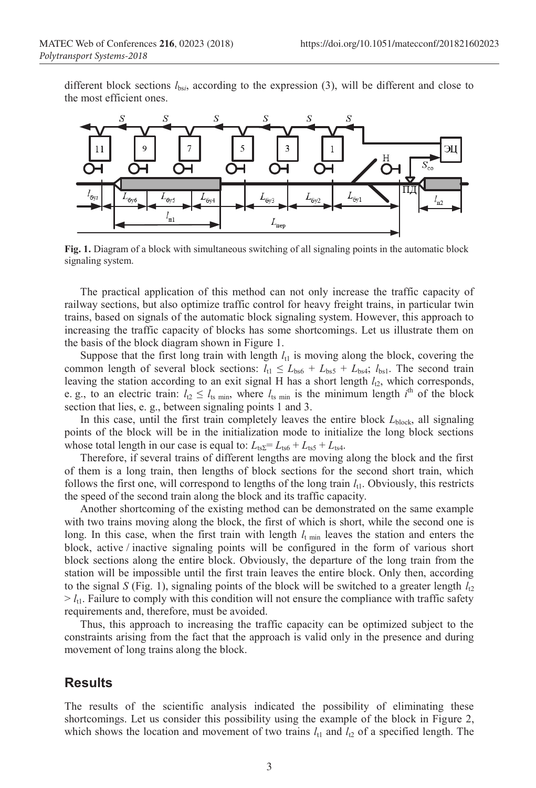different block sections  $l_{\text{bsi}}$ , according to the expression (3), will be different and close to the most efficient ones.



**Fig. 1.** Diagram of a block with simultaneous switching of all signaling points in the automatic block signaling system.

The practical application of this method can not only increase the traffic capacity of railway sections, but also optimize traffic control for heavy freight trains, in particular twin trains, based on signals of the automatic block signaling system. However, this approach to increasing the traffic capacity of blocks has some shortcomings. Let us illustrate them on the basis of the block diagram shown in Figure 1.

Suppose that the first long train with length  $l_{t1}$  is moving along the block, covering the common length of several block sections:  $l_{t1} \le L_{bs6} + L_{bs5} + L_{bs4}$ ;  $l_{bs1}$ . The second train leaving the station according to an exit signal H has a short length  $l_{12}$ , which corresponds, e. g., to an electric train:  $l_1 \leq l_{ts,min}$ , where  $l_{ts,min}$  is the minimum length  $i^{\text{th}}$  of the block section that lies, e. g., between signaling points 1 and 3.

In this case, until the first train completely leaves the entire block *L*block, all signaling points of the block will be in the initialization mode to initialize the long block sections whose total length in our case is equal to:  $L_{ts}\Sigma = L_{ts6} + L_{ts5} + L_{ts4}$ .

Therefore, if several trains of different lengths are moving along the block and the first of them is a long train, then lengths of block sections for the second short train, which follows the first one, will correspond to lengths of the long train  $l_{t1}$ . Obviously, this restricts the speed of the second train along the block and its traffic capacity.

Another shortcoming of the existing method can be demonstrated on the same example with two trains moving along the block, the first of which is short, while the second one is long. In this case, when the first train with length  $l_{t,min}$  leaves the station and enters the block, active / inactive signaling points will be configured in the form of various short block sections along the entire block. Obviously, the departure of the long train from the station will be impossible until the first train leaves the entire block. Only then, according to the signal *S* (Fig. 1), signaling points of the block will be switched to a greater length  $l_2$  $> l_{\text{tl}}$ . Failure to comply with this condition will not ensure the compliance with traffic safety requirements and, therefore, must be avoided.

Thus, this approach to increasing the traffic capacity can be optimized subject to the constraints arising from the fact that the approach is valid only in the presence and during movement of long trains along the block.

#### **Results**

The results of the scientific analysis indicated the possibility of eliminating these shortcomings. Let us consider this possibility using the example of the block in Figure 2, which shows the location and movement of two trains  $l_{t1}$  and  $l_{t2}$  of a specified length. The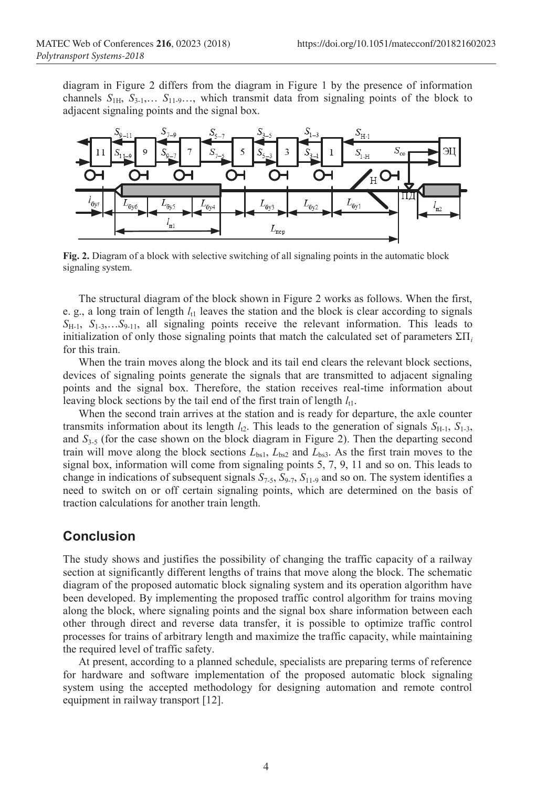diagram in Figure 2 differs from the diagram in Figure 1 by the presence of information channels  $S_{1H}$ ,  $S_{3-1}$ ,...  $S_{11-9}$ ..., which transmit data from signaling points of the block to adjacent signaling points and the signal box.



**Fig. 2.** Diagram of a block with selective switching of all signaling points in the automatic block signaling system.

The structural diagram of the block shown in Figure 2 works as follows. When the first, e. g., a long train of length  $l_{11}$  leaves the station and the block is clear according to signals  $S_{H-1}$ ,  $S_{1-3}$ ,  $S_{9-11}$ , all signaling points receive the relevant information. This leads to initialization of only those signaling points that match the calculated set of parameters ΣП*<sup>i</sup>* for this train.

When the train moves along the block and its tail end clears the relevant block sections, devices of signaling points generate the signals that are transmitted to adjacent signaling points and the signal box. Therefore, the station receives real-time information about leaving block sections by the tail end of the first train of length  $l_{t1}$ .

When the second train arrives at the station and is ready for departure, the axle counter transmits information about its length  $l_2$ . This leads to the generation of signals  $S_{H-1}$ ,  $S_{1-3}$ , and  $S<sub>3-5</sub>$  (for the case shown on the block diagram in Figure 2). Then the departing second train will move along the block sections  $L_{\text{bsl}}$ ,  $L_{\text{bsl}}$  and  $L_{\text{bsl}}$ . As the first train moves to the signal box, information will come from signaling points 5, 7, 9, 11 and so on. This leads to change in indications of subsequent signals  $S_{7-5}$ ,  $S_{9-7}$ ,  $S_{11-9}$  and so on. The system identifies a need to switch on or off certain signaling points, which are determined on the basis of traction calculations for another train length.

# **Conclusion**

The study shows and justifies the possibility of changing the traffic capacity of a railway section at significantly different lengths of trains that move along the block. The schematic diagram of the proposed automatic block signaling system and its operation algorithm have been developed. By implementing the proposed traffic control algorithm for trains moving along the block, where signaling points and the signal box share information between each other through direct and reverse data transfer, it is possible to optimize traffic control processes for trains of arbitrary length and maximize the traffic capacity, while maintaining the required level of traffic safety.

At present, according to a planned schedule, specialists are preparing terms of reference for hardware and software implementation of the proposed automatic block signaling system using the accepted methodology for designing automation and remote control equipment in railway transport [12].